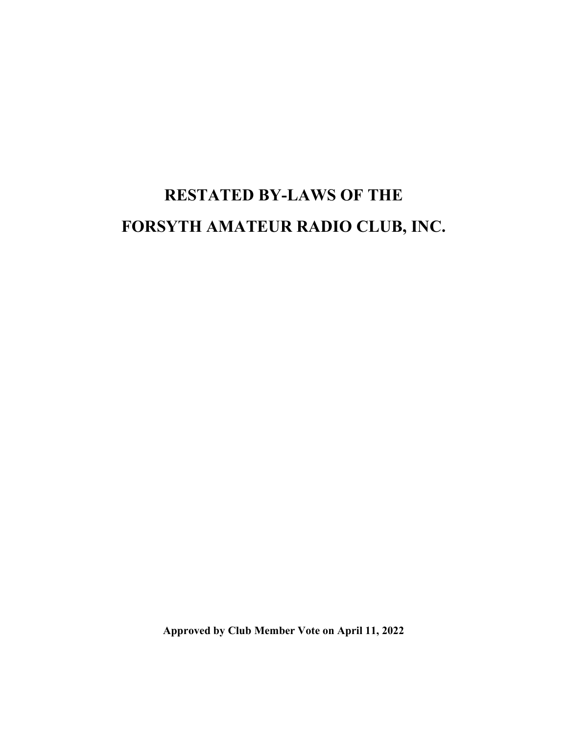# RESTATED BY-LAWS OF THE FORSYTH AMATEUR RADIO CLUB, INC.

Approved by Club Member Vote on April 11, 2022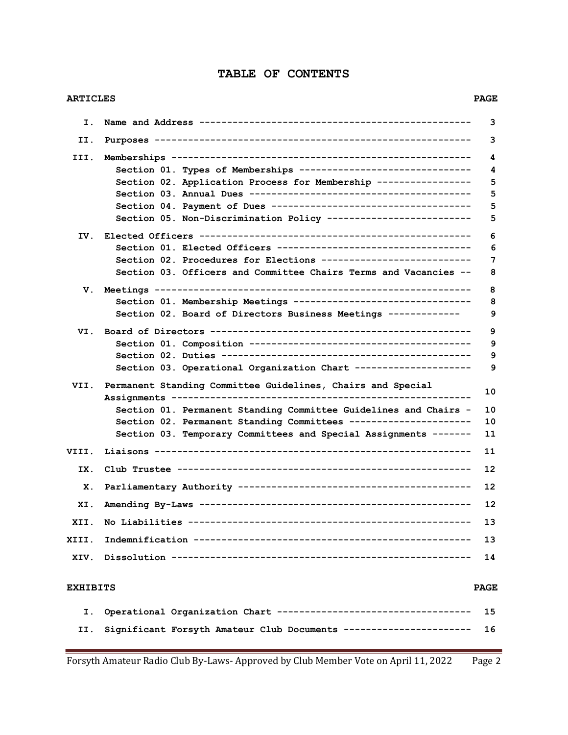# TABLE OF CONTENTS

| <b>ARTICLES</b> |                                                                                                                                     |             |  |
|-----------------|-------------------------------------------------------------------------------------------------------------------------------------|-------------|--|
| Ι.              |                                                                                                                                     | 3           |  |
| II.             |                                                                                                                                     | з           |  |
| III.            |                                                                                                                                     | 4           |  |
|                 | Section 01. Types of Memberships -------------------------------                                                                    | 4           |  |
|                 | Section 02. Application Process for Membership -----------------                                                                    | 5           |  |
|                 |                                                                                                                                     | 5           |  |
|                 |                                                                                                                                     | 5           |  |
|                 | Section 05. Non-Discrimination Policy --------------------------                                                                    | 5           |  |
| IV.             |                                                                                                                                     |             |  |
|                 |                                                                                                                                     | 6           |  |
|                 | Section 02. Procedures for Elections ---------------------------                                                                    | 7           |  |
|                 | Section 03. Officers and Committee Chairs Terms and Vacancies --                                                                    | 8           |  |
| v.              |                                                                                                                                     | 8           |  |
|                 | Section 01. Membership Meetings --------------------------------                                                                    | 8           |  |
|                 | Section 02. Board of Directors Business Meetings -------------                                                                      | 9           |  |
| VI.             |                                                                                                                                     | 9           |  |
|                 |                                                                                                                                     | 9           |  |
|                 |                                                                                                                                     | 9           |  |
|                 | Section 03. Operational Organization Chart --------------------                                                                     | 9           |  |
| VII.            | Permanent Standing Committee Guidelines, Chairs and Special<br>10                                                                   |             |  |
|                 |                                                                                                                                     | 10          |  |
|                 | Section 01. Permanent Standing Committee Guidelines and Chairs -<br>Section 02. Permanent Standing Committees --------------------- | 10          |  |
|                 | Section 03. Temporary Committees and Special Assignments -------                                                                    | 11          |  |
| VIII.           |                                                                                                                                     | 11          |  |
|                 |                                                                                                                                     |             |  |
| IX.             | 12                                                                                                                                  |             |  |
| х.              | 12                                                                                                                                  |             |  |
| XI.             | 12                                                                                                                                  |             |  |
| XII.            | 13                                                                                                                                  |             |  |
| XIII.           | 13                                                                                                                                  |             |  |
| XIV.            |                                                                                                                                     | 14          |  |
| <b>EXHIBITS</b> |                                                                                                                                     | <b>PAGE</b> |  |
| Ι.              | Operational Organization Chart -----------------------------------                                                                  | 15          |  |
| II.             | Significant Forsyth Amateur Club Documents ---------                                                                                | 16          |  |
|                 |                                                                                                                                     |             |  |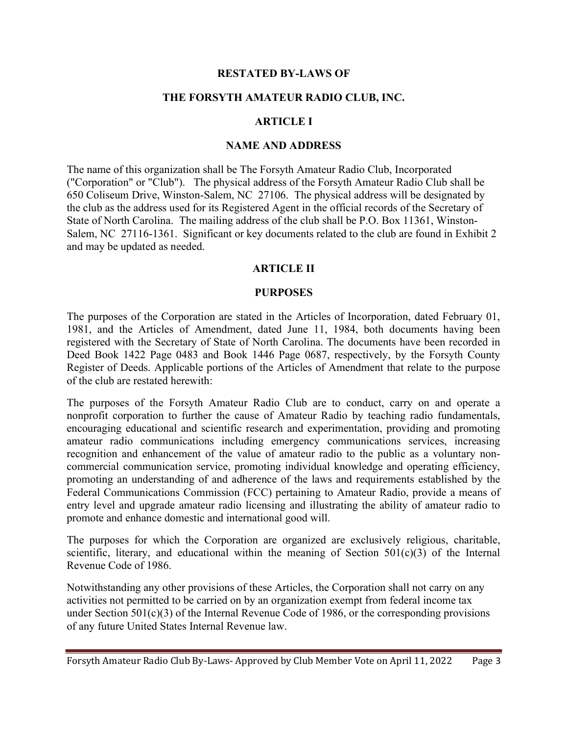## RESTATED BY-LAWS OF

# THE FORSYTH AMATEUR RADIO CLUB, INC.

# ARTICLE I

#### NAME AND ADDRESS

The name of this organization shall be The Forsyth Amateur Radio Club, Incorporated ("Corporation" or "Club"). The physical address of the Forsyth Amateur Radio Club shall be 650 Coliseum Drive, Winston-Salem, NC 27106. The physical address will be designated by the club as the address used for its Registered Agent in the official records of the Secretary of State of North Carolina. The mailing address of the club shall be P.O. Box 11361, Winston-Salem, NC 27116-1361. Significant or key documents related to the club are found in Exhibit 2 and may be updated as needed.

#### ARTICLE II

#### PURPOSES

The purposes of the Corporation are stated in the Articles of Incorporation, dated February 01, 1981, and the Articles of Amendment, dated June 11, 1984, both documents having been registered with the Secretary of State of North Carolina. The documents have been recorded in Deed Book 1422 Page 0483 and Book 1446 Page 0687, respectively, by the Forsyth County Register of Deeds. Applicable portions of the Articles of Amendment that relate to the purpose of the club are restated herewith:

The purposes of the Forsyth Amateur Radio Club are to conduct, carry on and operate a nonprofit corporation to further the cause of Amateur Radio by teaching radio fundamentals, encouraging educational and scientific research and experimentation, providing and promoting amateur radio communications including emergency communications services, increasing recognition and enhancement of the value of amateur radio to the public as a voluntary noncommercial communication service, promoting individual knowledge and operating efficiency, promoting an understanding of and adherence of the laws and requirements established by the Federal Communications Commission (FCC) pertaining to Amateur Radio, provide a means of entry level and upgrade amateur radio licensing and illustrating the ability of amateur radio to promote and enhance domestic and international good will.

The purposes for which the Corporation are organized are exclusively religious, charitable, scientific, literary, and educational within the meaning of Section  $501(c)(3)$  of the Internal Revenue Code of 1986.

Notwithstanding any other provisions of these Articles, the Corporation shall not carry on any activities not permitted to be carried on by an organization exempt from federal income tax under Section 501(c)(3) of the Internal Revenue Code of 1986, or the corresponding provisions of any future United States Internal Revenue law.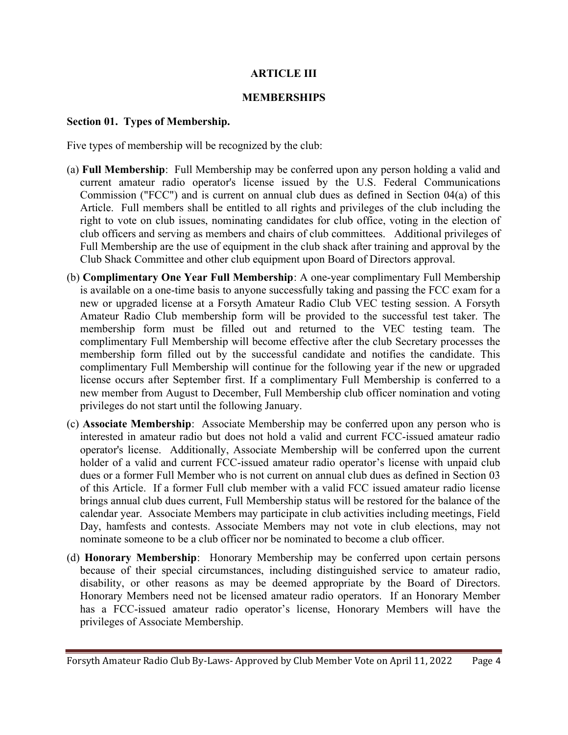# ARTICLE III

# MEMBERSHIPS

#### Section 01. Types of Membership.

Five types of membership will be recognized by the club:

- (a) Full Membership: Full Membership may be conferred upon any person holding a valid and current amateur radio operator's license issued by the U.S. Federal Communications Commission ("FCC") and is current on annual club dues as defined in Section 04(a) of this Article. Full members shall be entitled to all rights and privileges of the club including the right to vote on club issues, nominating candidates for club office, voting in the election of club officers and serving as members and chairs of club committees. Additional privileges of Full Membership are the use of equipment in the club shack after training and approval by the Club Shack Committee and other club equipment upon Board of Directors approval.
- (b) Complimentary One Year Full Membership: A one-year complimentary Full Membership is available on a one-time basis to anyone successfully taking and passing the FCC exam for a new or upgraded license at a Forsyth Amateur Radio Club VEC testing session. A Forsyth Amateur Radio Club membership form will be provided to the successful test taker. The membership form must be filled out and returned to the VEC testing team. The complimentary Full Membership will become effective after the club Secretary processes the membership form filled out by the successful candidate and notifies the candidate. This complimentary Full Membership will continue for the following year if the new or upgraded license occurs after September first. If a complimentary Full Membership is conferred to a new member from August to December, Full Membership club officer nomination and voting privileges do not start until the following January.
- (c) Associate Membership: Associate Membership may be conferred upon any person who is interested in amateur radio but does not hold a valid and current FCC-issued amateur radio operator's license. Additionally, Associate Membership will be conferred upon the current holder of a valid and current FCC-issued amateur radio operator's license with unpaid club dues or a former Full Member who is not current on annual club dues as defined in Section 03 of this Article. If a former Full club member with a valid FCC issued amateur radio license brings annual club dues current, Full Membership status will be restored for the balance of the calendar year. Associate Members may participate in club activities including meetings, Field Day, hamfests and contests. Associate Members may not vote in club elections, may not nominate someone to be a club officer nor be nominated to become a club officer.
- (d) Honorary Membership: Honorary Membership may be conferred upon certain persons because of their special circumstances, including distinguished service to amateur radio, disability, or other reasons as may be deemed appropriate by the Board of Directors. Honorary Members need not be licensed amateur radio operators. If an Honorary Member has a FCC-issued amateur radio operator's license, Honorary Members will have the privileges of Associate Membership.

Forsyth Amateur Radio Club By-Laws- Approved by Club Member Vote on April 11, 2022 Page 4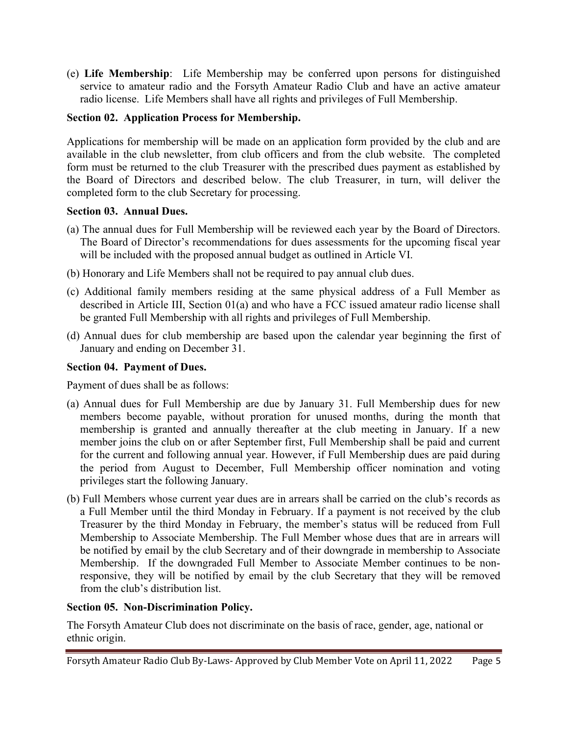(e) Life Membership: Life Membership may be conferred upon persons for distinguished service to amateur radio and the Forsyth Amateur Radio Club and have an active amateur radio license. Life Members shall have all rights and privileges of Full Membership.

# Section 02. Application Process for Membership.

Applications for membership will be made on an application form provided by the club and are available in the club newsletter, from club officers and from the club website. The completed form must be returned to the club Treasurer with the prescribed dues payment as established by the Board of Directors and described below. The club Treasurer, in turn, will deliver the completed form to the club Secretary for processing.

# Section 03. Annual Dues.

- (a) The annual dues for Full Membership will be reviewed each year by the Board of Directors. The Board of Director's recommendations for dues assessments for the upcoming fiscal year will be included with the proposed annual budget as outlined in Article VI.
- (b) Honorary and Life Members shall not be required to pay annual club dues.
- (c) Additional family members residing at the same physical address of a Full Member as described in Article III, Section 01(a) and who have a FCC issued amateur radio license shall be granted Full Membership with all rights and privileges of Full Membership.
- (d) Annual dues for club membership are based upon the calendar year beginning the first of January and ending on December 31.

# Section 04. Payment of Dues.

Payment of dues shall be as follows:

- (a) Annual dues for Full Membership are due by January 31. Full Membership dues for new members become payable, without proration for unused months, during the month that membership is granted and annually thereafter at the club meeting in January. If a new member joins the club on or after September first, Full Membership shall be paid and current for the current and following annual year. However, if Full Membership dues are paid during the period from August to December, Full Membership officer nomination and voting privileges start the following January.
- (b) Full Members whose current year dues are in arrears shall be carried on the club's records as a Full Member until the third Monday in February. If a payment is not received by the club Treasurer by the third Monday in February, the member's status will be reduced from Full Membership to Associate Membership. The Full Member whose dues that are in arrears will be notified by email by the club Secretary and of their downgrade in membership to Associate Membership. If the downgraded Full Member to Associate Member continues to be nonresponsive, they will be notified by email by the club Secretary that they will be removed from the club's distribution list.

# Section 05. Non-Discrimination Policy.

The Forsyth Amateur Club does not discriminate on the basis of race, gender, age, national or ethnic origin.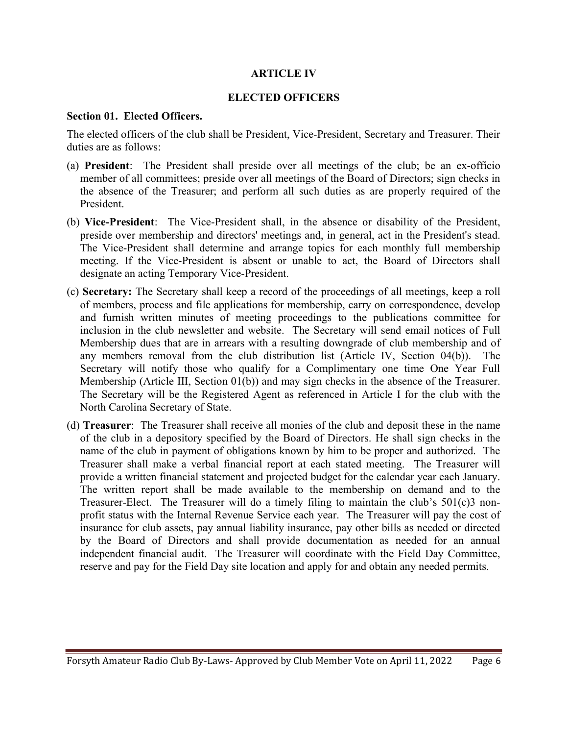# ARTICLE IV

# ELECTED OFFICERS

#### Section 01. Elected Officers.

The elected officers of the club shall be President, Vice-President, Secretary and Treasurer. Their duties are as follows:

- (a) President: The President shall preside over all meetings of the club; be an ex-officio member of all committees; preside over all meetings of the Board of Directors; sign checks in the absence of the Treasurer; and perform all such duties as are properly required of the President.
- (b) Vice-President: The Vice-President shall, in the absence or disability of the President, preside over membership and directors' meetings and, in general, act in the President's stead. The Vice-President shall determine and arrange topics for each monthly full membership meeting. If the Vice-President is absent or unable to act, the Board of Directors shall designate an acting Temporary Vice-President.
- (c) Secretary: The Secretary shall keep a record of the proceedings of all meetings, keep a roll of members, process and file applications for membership, carry on correspondence, develop and furnish written minutes of meeting proceedings to the publications committee for inclusion in the club newsletter and website. The Secretary will send email notices of Full Membership dues that are in arrears with a resulting downgrade of club membership and of any members removal from the club distribution list (Article IV, Section 04(b)). The Secretary will notify those who qualify for a Complimentary one time One Year Full Membership (Article III, Section 01(b)) and may sign checks in the absence of the Treasurer. The Secretary will be the Registered Agent as referenced in Article I for the club with the North Carolina Secretary of State.
- (d) Treasurer: The Treasurer shall receive all monies of the club and deposit these in the name of the club in a depository specified by the Board of Directors. He shall sign checks in the name of the club in payment of obligations known by him to be proper and authorized. The Treasurer shall make a verbal financial report at each stated meeting. The Treasurer will provide a written financial statement and projected budget for the calendar year each January. The written report shall be made available to the membership on demand and to the Treasurer-Elect. The Treasurer will do a timely filing to maintain the club's 501(c)3 nonprofit status with the Internal Revenue Service each year. The Treasurer will pay the cost of insurance for club assets, pay annual liability insurance, pay other bills as needed or directed by the Board of Directors and shall provide documentation as needed for an annual independent financial audit. The Treasurer will coordinate with the Field Day Committee, reserve and pay for the Field Day site location and apply for and obtain any needed permits.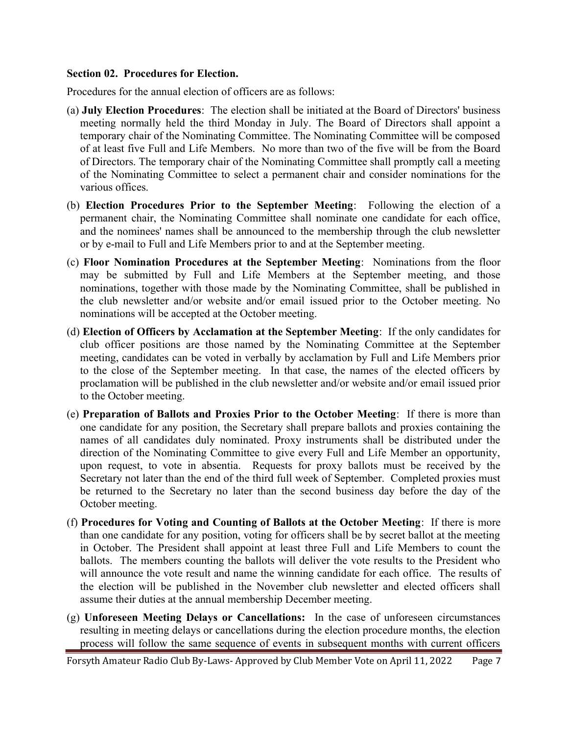#### Section 02. Procedures for Election.

Procedures for the annual election of officers are as follows:

- (a) July Election Procedures: The election shall be initiated at the Board of Directors' business meeting normally held the third Monday in July. The Board of Directors shall appoint a temporary chair of the Nominating Committee. The Nominating Committee will be composed of at least five Full and Life Members. No more than two of the five will be from the Board of Directors. The temporary chair of the Nominating Committee shall promptly call a meeting of the Nominating Committee to select a permanent chair and consider nominations for the various offices.
- (b) Election Procedures Prior to the September Meeting: Following the election of a permanent chair, the Nominating Committee shall nominate one candidate for each office, and the nominees' names shall be announced to the membership through the club newsletter or by e-mail to Full and Life Members prior to and at the September meeting.
- (c) Floor Nomination Procedures at the September Meeting: Nominations from the floor may be submitted by Full and Life Members at the September meeting, and those nominations, together with those made by the Nominating Committee, shall be published in the club newsletter and/or website and/or email issued prior to the October meeting. No nominations will be accepted at the October meeting.
- (d) Election of Officers by Acclamation at the September Meeting: If the only candidates for club officer positions are those named by the Nominating Committee at the September meeting, candidates can be voted in verbally by acclamation by Full and Life Members prior to the close of the September meeting. In that case, the names of the elected officers by proclamation will be published in the club newsletter and/or website and/or email issued prior to the October meeting.
- (e) Preparation of Ballots and Proxies Prior to the October Meeting: If there is more than one candidate for any position, the Secretary shall prepare ballots and proxies containing the names of all candidates duly nominated. Proxy instruments shall be distributed under the direction of the Nominating Committee to give every Full and Life Member an opportunity, upon request, to vote in absentia. Requests for proxy ballots must be received by the Secretary not later than the end of the third full week of September. Completed proxies must be returned to the Secretary no later than the second business day before the day of the October meeting.
- (f) Procedures for Voting and Counting of Ballots at the October Meeting: If there is more than one candidate for any position, voting for officers shall be by secret ballot at the meeting in October. The President shall appoint at least three Full and Life Members to count the ballots. The members counting the ballots will deliver the vote results to the President who will announce the vote result and name the winning candidate for each office. The results of the election will be published in the November club newsletter and elected officers shall assume their duties at the annual membership December meeting.
- (g) Unforeseen Meeting Delays or Cancellations: In the case of unforeseen circumstances resulting in meeting delays or cancellations during the election procedure months, the election process will follow the same sequence of events in subsequent months with current officers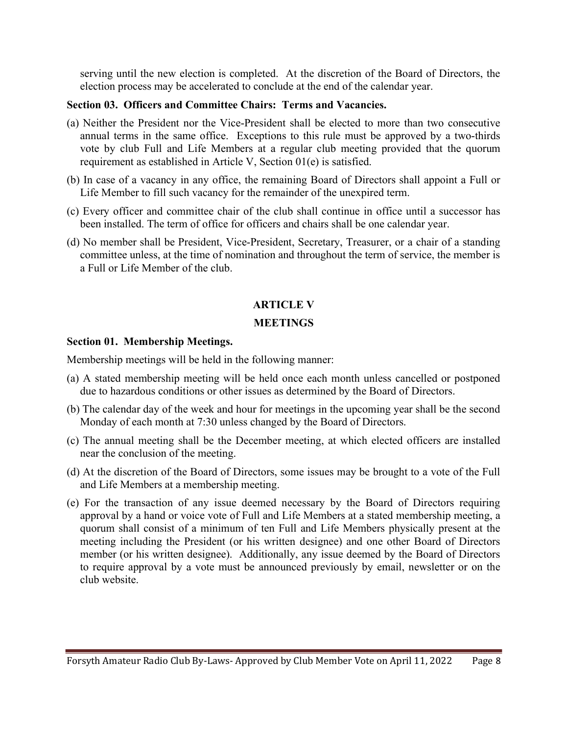serving until the new election is completed. At the discretion of the Board of Directors, the election process may be accelerated to conclude at the end of the calendar year.

# Section 03. Officers and Committee Chairs: Terms and Vacancies.

- (a) Neither the President nor the Vice-President shall be elected to more than two consecutive annual terms in the same office. Exceptions to this rule must be approved by a two-thirds vote by club Full and Life Members at a regular club meeting provided that the quorum requirement as established in Article V, Section 01(e) is satisfied.
- (b) In case of a vacancy in any office, the remaining Board of Directors shall appoint a Full or Life Member to fill such vacancy for the remainder of the unexpired term.
- (c) Every officer and committee chair of the club shall continue in office until a successor has been installed. The term of office for officers and chairs shall be one calendar year.
- (d) No member shall be President, Vice-President, Secretary, Treasurer, or a chair of a standing committee unless, at the time of nomination and throughout the term of service, the member is a Full or Life Member of the club.

# ARTICLE V

# **MEETINGS**

## Section 01. Membership Meetings.

Membership meetings will be held in the following manner:

- (a) A stated membership meeting will be held once each month unless cancelled or postponed due to hazardous conditions or other issues as determined by the Board of Directors.
- (b) The calendar day of the week and hour for meetings in the upcoming year shall be the second Monday of each month at 7:30 unless changed by the Board of Directors.
- (c) The annual meeting shall be the December meeting, at which elected officers are installed near the conclusion of the meeting.
- (d) At the discretion of the Board of Directors, some issues may be brought to a vote of the Full and Life Members at a membership meeting.
- (e) For the transaction of any issue deemed necessary by the Board of Directors requiring approval by a hand or voice vote of Full and Life Members at a stated membership meeting, a quorum shall consist of a minimum of ten Full and Life Members physically present at the meeting including the President (or his written designee) and one other Board of Directors member (or his written designee). Additionally, any issue deemed by the Board of Directors to require approval by a vote must be announced previously by email, newsletter or on the club website.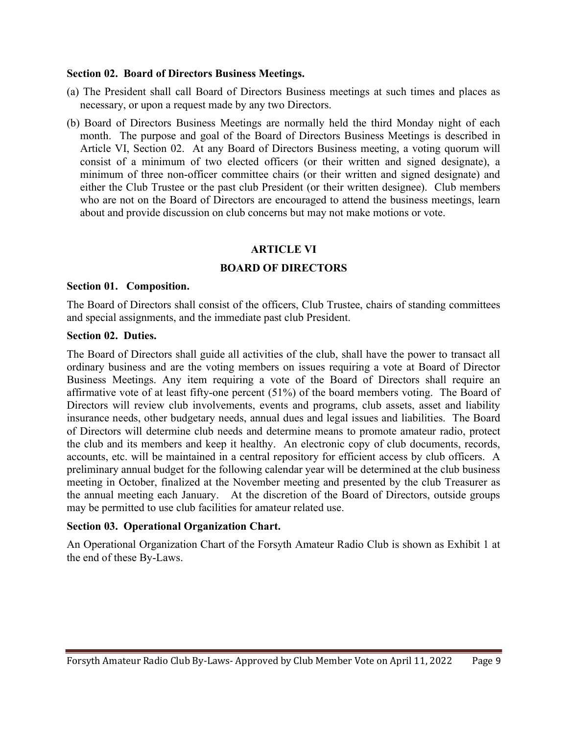### Section 02. Board of Directors Business Meetings.

- (a) The President shall call Board of Directors Business meetings at such times and places as necessary, or upon a request made by any two Directors.
- (b) Board of Directors Business Meetings are normally held the third Monday night of each month. The purpose and goal of the Board of Directors Business Meetings is described in Article VI, Section 02. At any Board of Directors Business meeting, a voting quorum will consist of a minimum of two elected officers (or their written and signed designate), a minimum of three non-officer committee chairs (or their written and signed designate) and either the Club Trustee or the past club President (or their written designee). Club members who are not on the Board of Directors are encouraged to attend the business meetings, learn about and provide discussion on club concerns but may not make motions or vote.

# ARTICLE VI

# BOARD OF DIRECTORS

#### Section 01. Composition.

The Board of Directors shall consist of the officers, Club Trustee, chairs of standing committees and special assignments, and the immediate past club President.

### Section 02. Duties.

The Board of Directors shall guide all activities of the club, shall have the power to transact all ordinary business and are the voting members on issues requiring a vote at Board of Director Business Meetings. Any item requiring a vote of the Board of Directors shall require an affirmative vote of at least fifty-one percent (51%) of the board members voting. The Board of Directors will review club involvements, events and programs, club assets, asset and liability insurance needs, other budgetary needs, annual dues and legal issues and liabilities. The Board of Directors will determine club needs and determine means to promote amateur radio, protect the club and its members and keep it healthy. An electronic copy of club documents, records, accounts, etc. will be maintained in a central repository for efficient access by club officers. A preliminary annual budget for the following calendar year will be determined at the club business meeting in October, finalized at the November meeting and presented by the club Treasurer as the annual meeting each January. At the discretion of the Board of Directors, outside groups may be permitted to use club facilities for amateur related use.

# Section 03. Operational Organization Chart.

An Operational Organization Chart of the Forsyth Amateur Radio Club is shown as Exhibit 1 at the end of these By-Laws.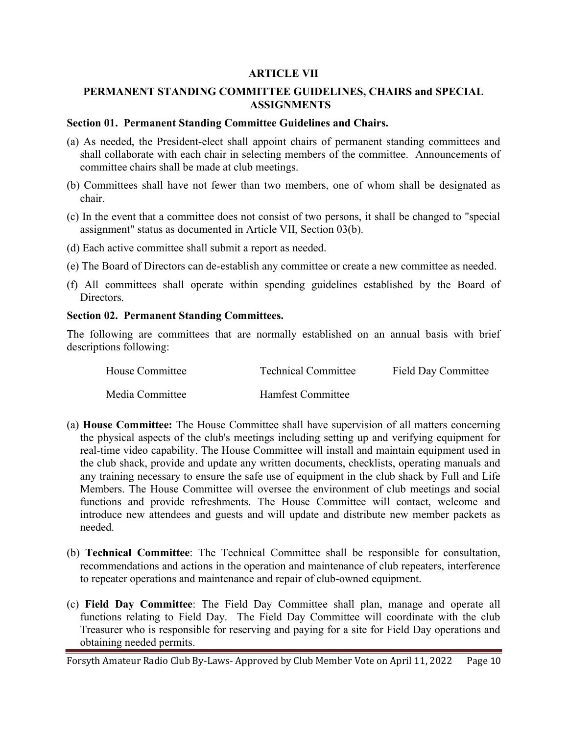# ARTICLE VII

# PERMANENT STANDING COMMITTEE GUIDELINES, CHAIRS and SPECIAL ASSIGNMENTS

#### Section 01. Permanent Standing Committee Guidelines and Chairs.

- (a) As needed, the President-elect shall appoint chairs of permanent standing committees and shall collaborate with each chair in selecting members of the committee. Announcements of committee chairs shall be made at club meetings.
- (b) Committees shall have not fewer than two members, one of whom shall be designated as chair.
- (c) In the event that a committee does not consist of two persons, it shall be changed to "special assignment" status as documented in Article VII, Section 03(b).
- (d) Each active committee shall submit a report as needed.
- (e) The Board of Directors can de-establish any committee or create a new committee as needed.
- (f) All committees shall operate within spending guidelines established by the Board of Directors.

### Section 02. Permanent Standing Committees.

The following are committees that are normally established on an annual basis with brief descriptions following:

| House Committee | <b>Technical Committee</b> | <b>Field Day Committee</b> |
|-----------------|----------------------------|----------------------------|
| Media Committee | Hamfest Committee          |                            |

- (a) House Committee: The House Committee shall have supervision of all matters concerning the physical aspects of the club's meetings including setting up and verifying equipment for real-time video capability. The House Committee will install and maintain equipment used in the club shack, provide and update any written documents, checklists, operating manuals and any training necessary to ensure the safe use of equipment in the club shack by Full and Life Members. The House Committee will oversee the environment of club meetings and social functions and provide refreshments. The House Committee will contact, welcome and introduce new attendees and guests and will update and distribute new member packets as needed.
- (b) Technical Committee: The Technical Committee shall be responsible for consultation, recommendations and actions in the operation and maintenance of club repeaters, interference to repeater operations and maintenance and repair of club-owned equipment.
- (c) Field Day Committee: The Field Day Committee shall plan, manage and operate all functions relating to Field Day. The Field Day Committee will coordinate with the club Treasurer who is responsible for reserving and paying for a site for Field Day operations and obtaining needed permits.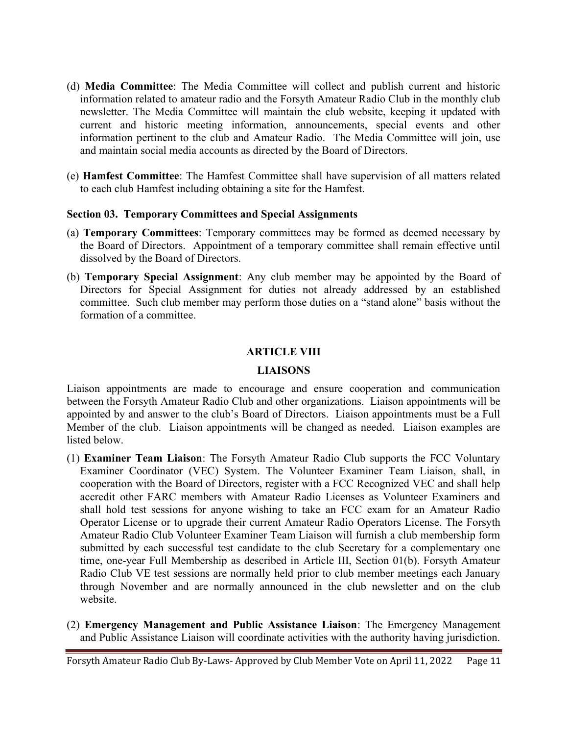- (d) Media Committee: The Media Committee will collect and publish current and historic information related to amateur radio and the Forsyth Amateur Radio Club in the monthly club newsletter. The Media Committee will maintain the club website, keeping it updated with current and historic meeting information, announcements, special events and other information pertinent to the club and Amateur Radio. The Media Committee will join, use and maintain social media accounts as directed by the Board of Directors.
- (e) Hamfest Committee: The Hamfest Committee shall have supervision of all matters related to each club Hamfest including obtaining a site for the Hamfest.

# Section 03. Temporary Committees and Special Assignments

- (a) Temporary Committees: Temporary committees may be formed as deemed necessary by the Board of Directors. Appointment of a temporary committee shall remain effective until dissolved by the Board of Directors.
- (b) Temporary Special Assignment: Any club member may be appointed by the Board of Directors for Special Assignment for duties not already addressed by an established committee. Such club member may perform those duties on a "stand alone" basis without the formation of a committee.

# ARTICLE VIII

# LIAISONS

Liaison appointments are made to encourage and ensure cooperation and communication between the Forsyth Amateur Radio Club and other organizations. Liaison appointments will be appointed by and answer to the club's Board of Directors. Liaison appointments must be a Full Member of the club. Liaison appointments will be changed as needed. Liaison examples are listed below.

- (1) Examiner Team Liaison: The Forsyth Amateur Radio Club supports the FCC Voluntary Examiner Coordinator (VEC) System. The Volunteer Examiner Team Liaison, shall, in cooperation with the Board of Directors, register with a FCC Recognized VEC and shall help accredit other FARC members with Amateur Radio Licenses as Volunteer Examiners and shall hold test sessions for anyone wishing to take an FCC exam for an Amateur Radio Operator License or to upgrade their current Amateur Radio Operators License. The Forsyth Amateur Radio Club Volunteer Examiner Team Liaison will furnish a club membership form submitted by each successful test candidate to the club Secretary for a complementary one time, one-year Full Membership as described in Article III, Section 01(b). Forsyth Amateur Radio Club VE test sessions are normally held prior to club member meetings each January through November and are normally announced in the club newsletter and on the club website.
- (2) Emergency Management and Public Assistance Liaison: The Emergency Management and Public Assistance Liaison will coordinate activities with the authority having jurisdiction.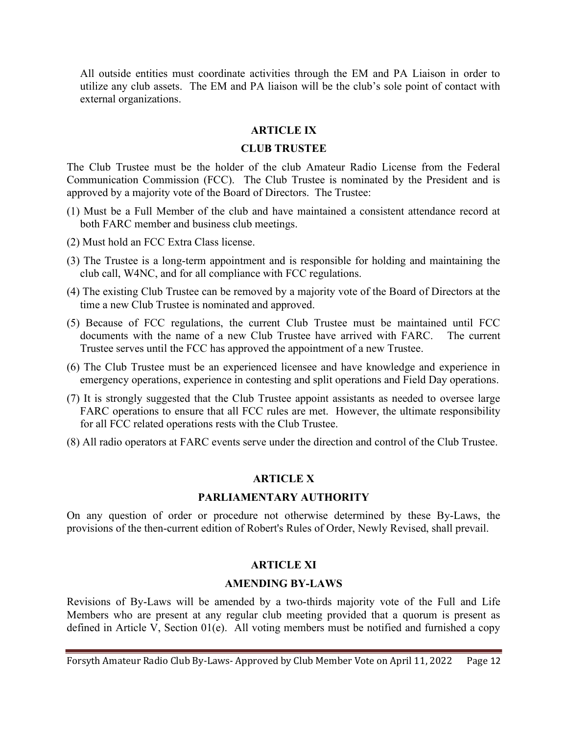All outside entities must coordinate activities through the EM and PA Liaison in order to utilize any club assets. The EM and PA liaison will be the club's sole point of contact with external organizations.

### ARTICLE IX

## CLUB TRUSTEE

The Club Trustee must be the holder of the club Amateur Radio License from the Federal Communication Commission (FCC). The Club Trustee is nominated by the President and is approved by a majority vote of the Board of Directors. The Trustee:

- (1) Must be a Full Member of the club and have maintained a consistent attendance record at both FARC member and business club meetings.
- (2) Must hold an FCC Extra Class license.
- (3) The Trustee is a long-term appointment and is responsible for holding and maintaining the club call, W4NC, and for all compliance with FCC regulations.
- (4) The existing Club Trustee can be removed by a majority vote of the Board of Directors at the time a new Club Trustee is nominated and approved.
- (5) Because of FCC regulations, the current Club Trustee must be maintained until FCC documents with the name of a new Club Trustee have arrived with FARC. The current Trustee serves until the FCC has approved the appointment of a new Trustee.
- (6) The Club Trustee must be an experienced licensee and have knowledge and experience in emergency operations, experience in contesting and split operations and Field Day operations.
- (7) It is strongly suggested that the Club Trustee appoint assistants as needed to oversee large FARC operations to ensure that all FCC rules are met. However, the ultimate responsibility for all FCC related operations rests with the Club Trustee.
- (8) All radio operators at FARC events serve under the direction and control of the Club Trustee.

#### ARTICLE X

#### PARLIAMENTARY AUTHORITY

On any question of order or procedure not otherwise determined by these By-Laws, the provisions of the then-current edition of Robert's Rules of Order, Newly Revised, shall prevail.

#### ARTICLE XI

#### AMENDING BY-LAWS

Revisions of By-Laws will be amended by a two-thirds majority vote of the Full and Life Members who are present at any regular club meeting provided that a quorum is present as defined in Article V, Section 01(e). All voting members must be notified and furnished a copy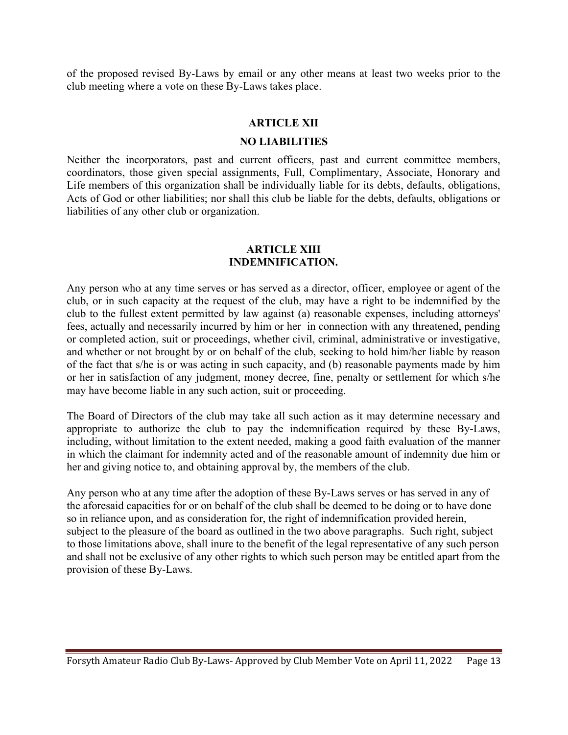of the proposed revised By-Laws by email or any other means at least two weeks prior to the club meeting where a vote on these By-Laws takes place.

#### ARTICLE XII

#### NO LIABILITIES

Neither the incorporators, past and current officers, past and current committee members, coordinators, those given special assignments, Full, Complimentary, Associate, Honorary and Life members of this organization shall be individually liable for its debts, defaults, obligations, Acts of God or other liabilities; nor shall this club be liable for the debts, defaults, obligations or liabilities of any other club or organization.

#### ARTICLE XIII INDEMNIFICATION.

Any person who at any time serves or has served as a director, officer, employee or agent of the club, or in such capacity at the request of the club, may have a right to be indemnified by the club to the fullest extent permitted by law against (a) reasonable expenses, including attorneys' fees, actually and necessarily incurred by him or her in connection with any threatened, pending or completed action, suit or proceedings, whether civil, criminal, administrative or investigative, and whether or not brought by or on behalf of the club, seeking to hold him/her liable by reason of the fact that s/he is or was acting in such capacity, and (b) reasonable payments made by him or her in satisfaction of any judgment, money decree, fine, penalty or settlement for which s/he may have become liable in any such action, suit or proceeding.

The Board of Directors of the club may take all such action as it may determine necessary and appropriate to authorize the club to pay the indemnification required by these By-Laws, including, without limitation to the extent needed, making a good faith evaluation of the manner in which the claimant for indemnity acted and of the reasonable amount of indemnity due him or her and giving notice to, and obtaining approval by, the members of the club.

Any person who at any time after the adoption of these By-Laws serves or has served in any of the aforesaid capacities for or on behalf of the club shall be deemed to be doing or to have done so in reliance upon, and as consideration for, the right of indemnification provided herein, subject to the pleasure of the board as outlined in the two above paragraphs. Such right, subject to those limitations above, shall inure to the benefit of the legal representative of any such person and shall not be exclusive of any other rights to which such person may be entitled apart from the provision of these By-Laws.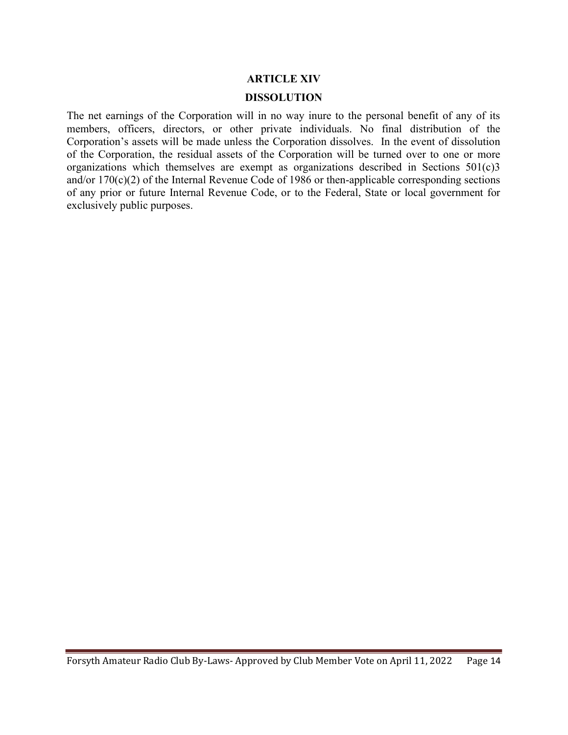# ARTICLE XIV DISSOLUTION

The net earnings of the Corporation will in no way inure to the personal benefit of any of its members, officers, directors, or other private individuals. No final distribution of the Corporation's assets will be made unless the Corporation dissolves. In the event of dissolution of the Corporation, the residual assets of the Corporation will be turned over to one or more organizations which themselves are exempt as organizations described in Sections 501(c)3 and/or 170(c)(2) of the Internal Revenue Code of 1986 or then-applicable corresponding sections of any prior or future Internal Revenue Code, or to the Federal, State or local government for exclusively public purposes.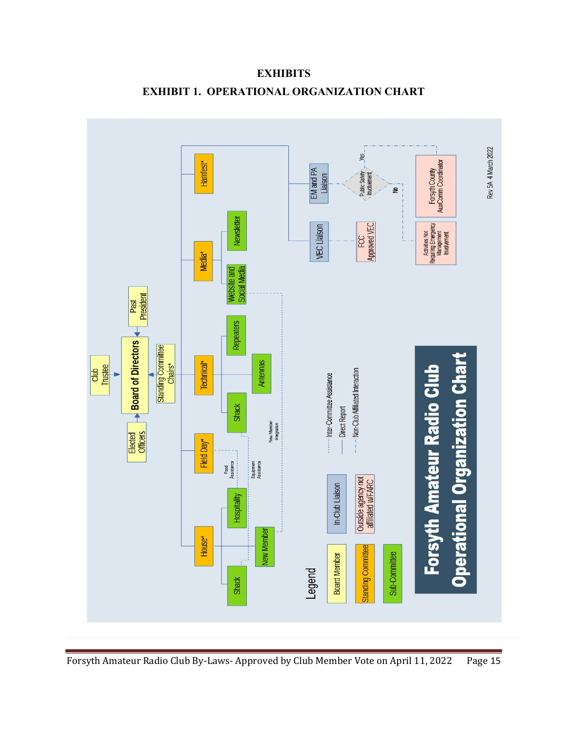

**EXHIBITS** EXHIBIT 1. OPERATIONAL ORGANIZATION CHART